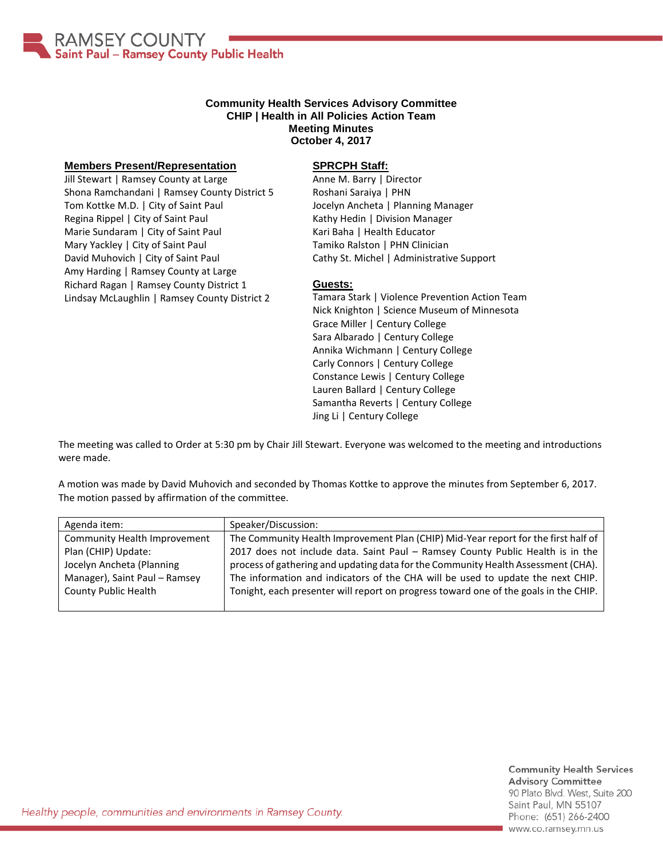

### **Community Health Services Advisory Committee CHIP | Health in All Policies Action Team Meeting Minutes October 4, 2017**

#### **Members Present/Representation**

Jill Stewart | Ramsey County at Large Shona Ramchandani | Ramsey County District 5 Tom Kottke M.D. | City of Saint Paul Regina Rippel | City of Saint Paul Marie Sundaram | City of Saint Paul Mary Yackley | City of Saint Paul David Muhovich | City of Saint Paul Amy Harding | Ramsey County at Large Richard Ragan | Ramsey County District 1 Lindsay McLaughlin | Ramsey County District 2

# **SPRCPH Staff:**

Anne M. Barry | Director Roshani Saraiya | PHN Jocelyn Ancheta | Planning Manager Kathy Hedin | Division Manager Kari Baha | Health Educator Tamiko Ralston | PHN Clinician Cathy St. Michel | Administrative Support

# **Guests:**

Tamara Stark | Violence Prevention Action Team Nick Knighton | Science Museum of Minnesota Grace Miller | Century College Sara Albarado | Century College Annika Wichmann | Century College Carly Connors | Century College Constance Lewis | Century College Lauren Ballard | Century College Samantha Reverts | Century College Jing Li | Century College

The meeting was called to Order at 5:30 pm by Chair Jill Stewart. Everyone was welcomed to the meeting and introductions were made.

A motion was made by David Muhovich and seconded by Thomas Kottke to approve the minutes from September 6, 2017. The motion passed by affirmation of the committee.

| Agenda item:                  | Speaker/Discussion:                                                                  |
|-------------------------------|--------------------------------------------------------------------------------------|
| Community Health Improvement  | The Community Health Improvement Plan (CHIP) Mid-Year report for the first half of   |
| Plan (CHIP) Update:           | 2017 does not include data. Saint Paul - Ramsey County Public Health is in the       |
| Jocelyn Ancheta (Planning     | process of gathering and updating data for the Community Health Assessment (CHA).    |
| Manager), Saint Paul - Ramsey | The information and indicators of the CHA will be used to update the next CHIP.      |
| <b>County Public Health</b>   | Tonight, each presenter will report on progress toward one of the goals in the CHIP. |
|                               |                                                                                      |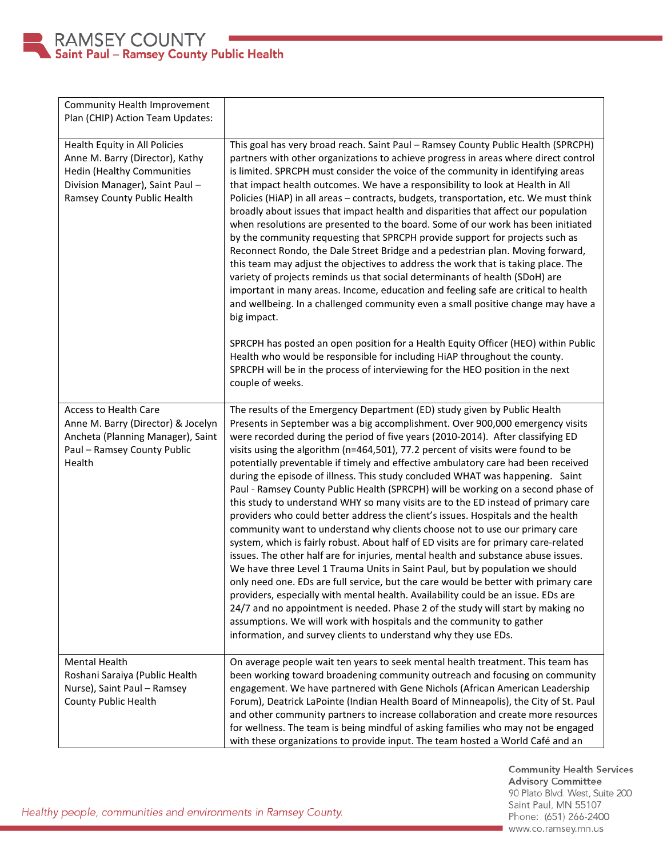

| Community Health Improvement<br>Plan (CHIP) Action Team Updates:                                                                                                        |                                                                                                                                                                                                                                                                                                                                                                                                                                                                                                                                                                                                                                                                                                                                                                                                                                                                                                                                                                                                                                                                                                                                                                                                                                                                                                                                                                                                                                                                                                                             |
|-------------------------------------------------------------------------------------------------------------------------------------------------------------------------|-----------------------------------------------------------------------------------------------------------------------------------------------------------------------------------------------------------------------------------------------------------------------------------------------------------------------------------------------------------------------------------------------------------------------------------------------------------------------------------------------------------------------------------------------------------------------------------------------------------------------------------------------------------------------------------------------------------------------------------------------------------------------------------------------------------------------------------------------------------------------------------------------------------------------------------------------------------------------------------------------------------------------------------------------------------------------------------------------------------------------------------------------------------------------------------------------------------------------------------------------------------------------------------------------------------------------------------------------------------------------------------------------------------------------------------------------------------------------------------------------------------------------------|
| Health Equity in All Policies<br>Anne M. Barry (Director), Kathy<br><b>Hedin (Healthy Communities</b><br>Division Manager), Saint Paul -<br>Ramsey County Public Health | This goal has very broad reach. Saint Paul - Ramsey County Public Health (SPRCPH)<br>partners with other organizations to achieve progress in areas where direct control<br>is limited. SPRCPH must consider the voice of the community in identifying areas<br>that impact health outcomes. We have a responsibility to look at Health in All<br>Policies (HiAP) in all areas - contracts, budgets, transportation, etc. We must think<br>broadly about issues that impact health and disparities that affect our population<br>when resolutions are presented to the board. Some of our work has been initiated<br>by the community requesting that SPRCPH provide support for projects such as<br>Reconnect Rondo, the Dale Street Bridge and a pedestrian plan. Moving forward,<br>this team may adjust the objectives to address the work that is taking place. The<br>variety of projects reminds us that social determinants of health (SDoH) are<br>important in many areas. Income, education and feeling safe are critical to health<br>and wellbeing. In a challenged community even a small positive change may have a<br>big impact.                                                                                                                                                                                                                                                                                                                                                                           |
|                                                                                                                                                                         | SPRCPH has posted an open position for a Health Equity Officer (HEO) within Public<br>Health who would be responsible for including HiAP throughout the county.<br>SPRCPH will be in the process of interviewing for the HEO position in the next<br>couple of weeks.                                                                                                                                                                                                                                                                                                                                                                                                                                                                                                                                                                                                                                                                                                                                                                                                                                                                                                                                                                                                                                                                                                                                                                                                                                                       |
| <b>Access to Health Care</b><br>Anne M. Barry (Director) & Jocelyn<br>Ancheta (Planning Manager), Saint<br>Paul - Ramsey County Public<br>Health                        | The results of the Emergency Department (ED) study given by Public Health<br>Presents in September was a big accomplishment. Over 900,000 emergency visits<br>were recorded during the period of five years (2010-2014). After classifying ED<br>visits using the algorithm (n=464,501), 77.2 percent of visits were found to be<br>potentially preventable if timely and effective ambulatory care had been received<br>during the episode of illness. This study concluded WHAT was happening. Saint<br>Paul - Ramsey County Public Health (SPRCPH) will be working on a second phase of<br>this study to understand WHY so many visits are to the ED instead of primary care<br>providers who could better address the client's issues. Hospitals and the health<br>community want to understand why clients choose not to use our primary care<br>system, which is fairly robust. About half of ED visits are for primary care-related<br>issues. The other half are for injuries, mental health and substance abuse issues.<br>We have three Level 1 Trauma Units in Saint Paul, but by population we should<br>only need one. EDs are full service, but the care would be better with primary care<br>providers, especially with mental health. Availability could be an issue. EDs are<br>24/7 and no appointment is needed. Phase 2 of the study will start by making no<br>assumptions. We will work with hospitals and the community to gather<br>information, and survey clients to understand why they use EDs. |
| <b>Mental Health</b><br>Roshani Saraiya (Public Health<br>Nurse), Saint Paul - Ramsey<br>County Public Health                                                           | On average people wait ten years to seek mental health treatment. This team has<br>been working toward broadening community outreach and focusing on community<br>engagement. We have partnered with Gene Nichols (African American Leadership<br>Forum), Deatrick LaPointe (Indian Health Board of Minneapolis), the City of St. Paul<br>and other community partners to increase collaboration and create more resources<br>for wellness. The team is being mindful of asking families who may not be engaged<br>with these organizations to provide input. The team hosted a World Café and an                                                                                                                                                                                                                                                                                                                                                                                                                                                                                                                                                                                                                                                                                                                                                                                                                                                                                                                           |

Community Health Services<br>Advisory Committee 90 Plato Blvd. West, Suite 200 Saint Paul, MN 55107 Phone: (651) 266-2400 www.co.ramsey.mn.us

Healthy people, communities and environments in Ramsey County.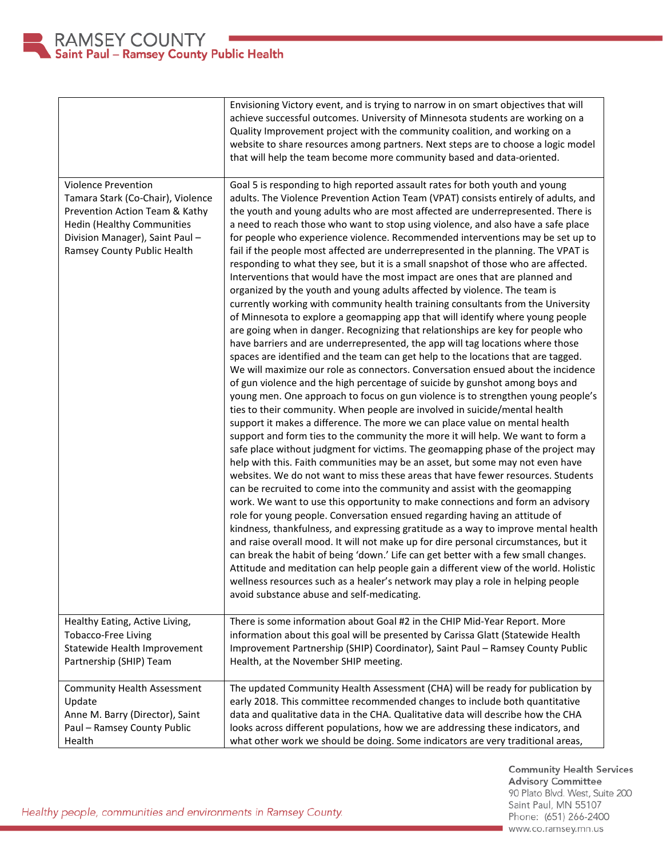

|                                                                                                                                                                                                         | Envisioning Victory event, and is trying to narrow in on smart objectives that will<br>achieve successful outcomes. University of Minnesota students are working on a<br>Quality Improvement project with the community coalition, and working on a<br>website to share resources among partners. Next steps are to choose a logic model<br>that will help the team become more community based and data-oriented.                                                                                                                                                                                                                                                                                                                                                                                                                                                                                                                                                                                                                                                                                                                                                                                                                                                                                                                                                                                                                                                                                                                                                                                                                                                                                                                                                                                                                                                                                                                                                                                                                                                                                                                                                                                                                                                                                                                                                                                                                                                                                                                                                                                                                                                                                               |
|---------------------------------------------------------------------------------------------------------------------------------------------------------------------------------------------------------|------------------------------------------------------------------------------------------------------------------------------------------------------------------------------------------------------------------------------------------------------------------------------------------------------------------------------------------------------------------------------------------------------------------------------------------------------------------------------------------------------------------------------------------------------------------------------------------------------------------------------------------------------------------------------------------------------------------------------------------------------------------------------------------------------------------------------------------------------------------------------------------------------------------------------------------------------------------------------------------------------------------------------------------------------------------------------------------------------------------------------------------------------------------------------------------------------------------------------------------------------------------------------------------------------------------------------------------------------------------------------------------------------------------------------------------------------------------------------------------------------------------------------------------------------------------------------------------------------------------------------------------------------------------------------------------------------------------------------------------------------------------------------------------------------------------------------------------------------------------------------------------------------------------------------------------------------------------------------------------------------------------------------------------------------------------------------------------------------------------------------------------------------------------------------------------------------------------------------------------------------------------------------------------------------------------------------------------------------------------------------------------------------------------------------------------------------------------------------------------------------------------------------------------------------------------------------------------------------------------------------------------------------------------------------------------------------------------|
| <b>Violence Prevention</b><br>Tamara Stark (Co-Chair), Violence<br>Prevention Action Team & Kathy<br><b>Hedin (Healthy Communities</b><br>Division Manager), Saint Paul-<br>Ramsey County Public Health | Goal 5 is responding to high reported assault rates for both youth and young<br>adults. The Violence Prevention Action Team (VPAT) consists entirely of adults, and<br>the youth and young adults who are most affected are underrepresented. There is<br>a need to reach those who want to stop using violence, and also have a safe place<br>for people who experience violence. Recommended interventions may be set up to<br>fail if the people most affected are underrepresented in the planning. The VPAT is<br>responding to what they see, but it is a small snapshot of those who are affected.<br>Interventions that would have the most impact are ones that are planned and<br>organized by the youth and young adults affected by violence. The team is<br>currently working with community health training consultants from the University<br>of Minnesota to explore a geomapping app that will identify where young people<br>are going when in danger. Recognizing that relationships are key for people who<br>have barriers and are underrepresented, the app will tag locations where those<br>spaces are identified and the team can get help to the locations that are tagged.<br>We will maximize our role as connectors. Conversation ensued about the incidence<br>of gun violence and the high percentage of suicide by gunshot among boys and<br>young men. One approach to focus on gun violence is to strengthen young people's<br>ties to their community. When people are involved in suicide/mental health<br>support it makes a difference. The more we can place value on mental health<br>support and form ties to the community the more it will help. We want to form a<br>safe place without judgment for victims. The geomapping phase of the project may<br>help with this. Faith communities may be an asset, but some may not even have<br>websites. We do not want to miss these areas that have fewer resources. Students<br>can be recruited to come into the community and assist with the geomapping<br>work. We want to use this opportunity to make connections and form an advisory<br>role for young people. Conversation ensued regarding having an attitude of<br>kindness, thankfulness, and expressing gratitude as a way to improve mental health<br>and raise overall mood. It will not make up for dire personal circumstances, but it<br>can break the habit of being 'down.' Life can get better with a few small changes.<br>Attitude and meditation can help people gain a different view of the world. Holistic<br>wellness resources such as a healer's network may play a role in helping people<br>avoid substance abuse and self-medicating. |
| Healthy Eating, Active Living,                                                                                                                                                                          | There is some information about Goal #2 in the CHIP Mid-Year Report. More                                                                                                                                                                                                                                                                                                                                                                                                                                                                                                                                                                                                                                                                                                                                                                                                                                                                                                                                                                                                                                                                                                                                                                                                                                                                                                                                                                                                                                                                                                                                                                                                                                                                                                                                                                                                                                                                                                                                                                                                                                                                                                                                                                                                                                                                                                                                                                                                                                                                                                                                                                                                                                        |
| <b>Tobacco-Free Living</b>                                                                                                                                                                              | information about this goal will be presented by Carissa Glatt (Statewide Health                                                                                                                                                                                                                                                                                                                                                                                                                                                                                                                                                                                                                                                                                                                                                                                                                                                                                                                                                                                                                                                                                                                                                                                                                                                                                                                                                                                                                                                                                                                                                                                                                                                                                                                                                                                                                                                                                                                                                                                                                                                                                                                                                                                                                                                                                                                                                                                                                                                                                                                                                                                                                                 |
| Statewide Health Improvement                                                                                                                                                                            | Improvement Partnership (SHIP) Coordinator), Saint Paul - Ramsey County Public                                                                                                                                                                                                                                                                                                                                                                                                                                                                                                                                                                                                                                                                                                                                                                                                                                                                                                                                                                                                                                                                                                                                                                                                                                                                                                                                                                                                                                                                                                                                                                                                                                                                                                                                                                                                                                                                                                                                                                                                                                                                                                                                                                                                                                                                                                                                                                                                                                                                                                                                                                                                                                   |
| Partnership (SHIP) Team                                                                                                                                                                                 | Health, at the November SHIP meeting.                                                                                                                                                                                                                                                                                                                                                                                                                                                                                                                                                                                                                                                                                                                                                                                                                                                                                                                                                                                                                                                                                                                                                                                                                                                                                                                                                                                                                                                                                                                                                                                                                                                                                                                                                                                                                                                                                                                                                                                                                                                                                                                                                                                                                                                                                                                                                                                                                                                                                                                                                                                                                                                                            |
| <b>Community Health Assessment</b>                                                                                                                                                                      | The updated Community Health Assessment (CHA) will be ready for publication by                                                                                                                                                                                                                                                                                                                                                                                                                                                                                                                                                                                                                                                                                                                                                                                                                                                                                                                                                                                                                                                                                                                                                                                                                                                                                                                                                                                                                                                                                                                                                                                                                                                                                                                                                                                                                                                                                                                                                                                                                                                                                                                                                                                                                                                                                                                                                                                                                                                                                                                                                                                                                                   |
| Update                                                                                                                                                                                                  | early 2018. This committee recommended changes to include both quantitative                                                                                                                                                                                                                                                                                                                                                                                                                                                                                                                                                                                                                                                                                                                                                                                                                                                                                                                                                                                                                                                                                                                                                                                                                                                                                                                                                                                                                                                                                                                                                                                                                                                                                                                                                                                                                                                                                                                                                                                                                                                                                                                                                                                                                                                                                                                                                                                                                                                                                                                                                                                                                                      |
| Anne M. Barry (Director), Saint                                                                                                                                                                         | data and qualitative data in the CHA. Qualitative data will describe how the CHA                                                                                                                                                                                                                                                                                                                                                                                                                                                                                                                                                                                                                                                                                                                                                                                                                                                                                                                                                                                                                                                                                                                                                                                                                                                                                                                                                                                                                                                                                                                                                                                                                                                                                                                                                                                                                                                                                                                                                                                                                                                                                                                                                                                                                                                                                                                                                                                                                                                                                                                                                                                                                                 |
| Paul - Ramsey County Public                                                                                                                                                                             | looks across different populations, how we are addressing these indicators, and                                                                                                                                                                                                                                                                                                                                                                                                                                                                                                                                                                                                                                                                                                                                                                                                                                                                                                                                                                                                                                                                                                                                                                                                                                                                                                                                                                                                                                                                                                                                                                                                                                                                                                                                                                                                                                                                                                                                                                                                                                                                                                                                                                                                                                                                                                                                                                                                                                                                                                                                                                                                                                  |
| Health                                                                                                                                                                                                  | what other work we should be doing. Some indicators are very traditional areas,                                                                                                                                                                                                                                                                                                                                                                                                                                                                                                                                                                                                                                                                                                                                                                                                                                                                                                                                                                                                                                                                                                                                                                                                                                                                                                                                                                                                                                                                                                                                                                                                                                                                                                                                                                                                                                                                                                                                                                                                                                                                                                                                                                                                                                                                                                                                                                                                                                                                                                                                                                                                                                  |

Healthy people, communities and environments in Ramsey County.